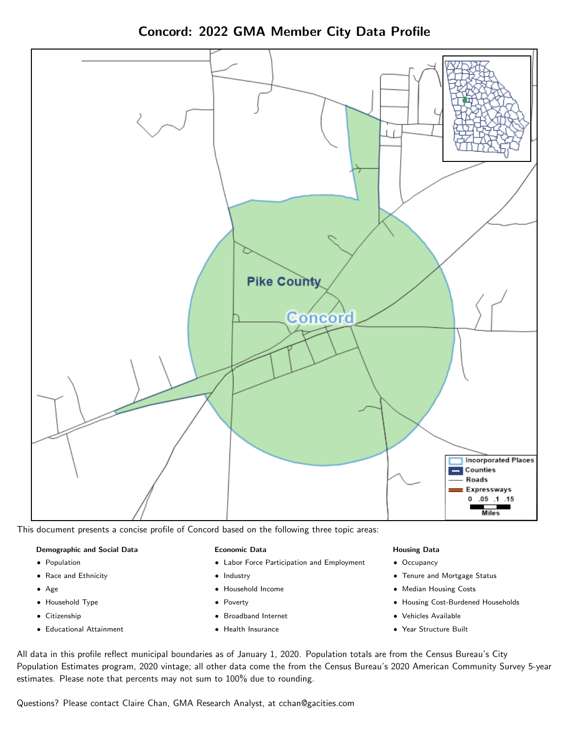Concord: 2022 GMA Member City Data Profile



This document presents a concise profile of Concord based on the following three topic areas:

### Demographic and Social Data

- **•** Population
- Race and Ethnicity
- Age
- Household Type
- **Citizenship**
- Educational Attainment

### Economic Data

- Labor Force Participation and Employment
- Industry
- Household Income
- Poverty
- Broadband Internet
- Health Insurance

### Housing Data

- Occupancy
- Tenure and Mortgage Status
- Median Housing Costs
- Housing Cost-Burdened Households
- Vehicles Available
- Year Structure Built

All data in this profile reflect municipal boundaries as of January 1, 2020. Population totals are from the Census Bureau's City Population Estimates program, 2020 vintage; all other data come the from the Census Bureau's 2020 American Community Survey 5-year estimates. Please note that percents may not sum to 100% due to rounding.

Questions? Please contact Claire Chan, GMA Research Analyst, at [cchan@gacities.com.](mailto:cchan@gacities.com)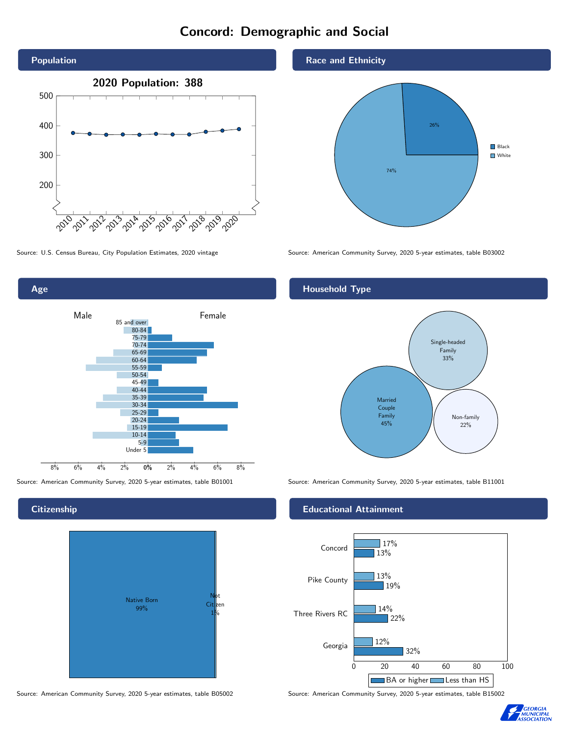# Concord: Demographic and Social





## **Citizenship**



Source: American Community Survey, 2020 5-year estimates, table B05002 Source: American Community Survey, 2020 5-year estimates, table B15002

## Race and Ethnicity



Source: U.S. Census Bureau, City Population Estimates, 2020 vintage Source: American Community Survey, 2020 5-year estimates, table B03002

## Household Type



Source: American Community Survey, 2020 5-year estimates, table B01001 Source: American Community Survey, 2020 5-year estimates, table B11001

## Educational Attainment



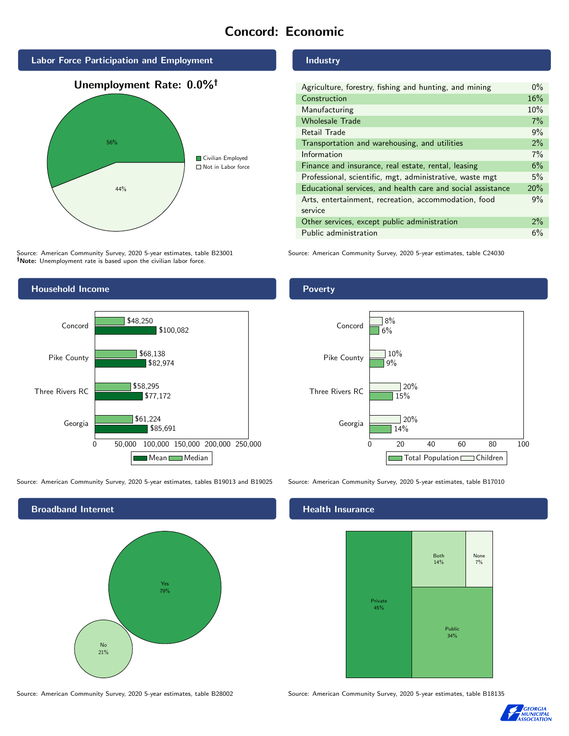# Concord: Economic



Source: American Community Survey, 2020 5-year estimates, table B23001 Note: Unemployment rate is based upon the civilian labor force.



Source: American Community Survey, 2020 5-year estimates, tables B19013 and B19025 Source: American Community Survey, 2020 5-year estimates, table B17010



Source: American Community Survey, 2020 5-year estimates, table B28002 Source: American Community Survey, 2020 5-year estimates, table B18135

Industry

Poverty

| Agriculture, forestry, fishing and hunting, and mining      | $0\%$ |
|-------------------------------------------------------------|-------|
| Construction                                                | 16%   |
| Manufacturing                                               | 10%   |
| <b>Wholesale Trade</b>                                      | 7%    |
| Retail Trade                                                | 9%    |
| Transportation and warehousing, and utilities               | 2%    |
| Information                                                 | 7%    |
| Finance and insurance, real estate, rental, leasing         | 6%    |
| Professional, scientific, mgt, administrative, waste mgt    | 5%    |
| Educational services, and health care and social assistance | 20%   |
| Arts, entertainment, recreation, accommodation, food        | 9%    |
| service                                                     |       |
| Other services, except public administration                | $2\%$ |
| Public administration                                       | 6%    |

Source: American Community Survey, 2020 5-year estimates, table C24030



## **Health Insurance**